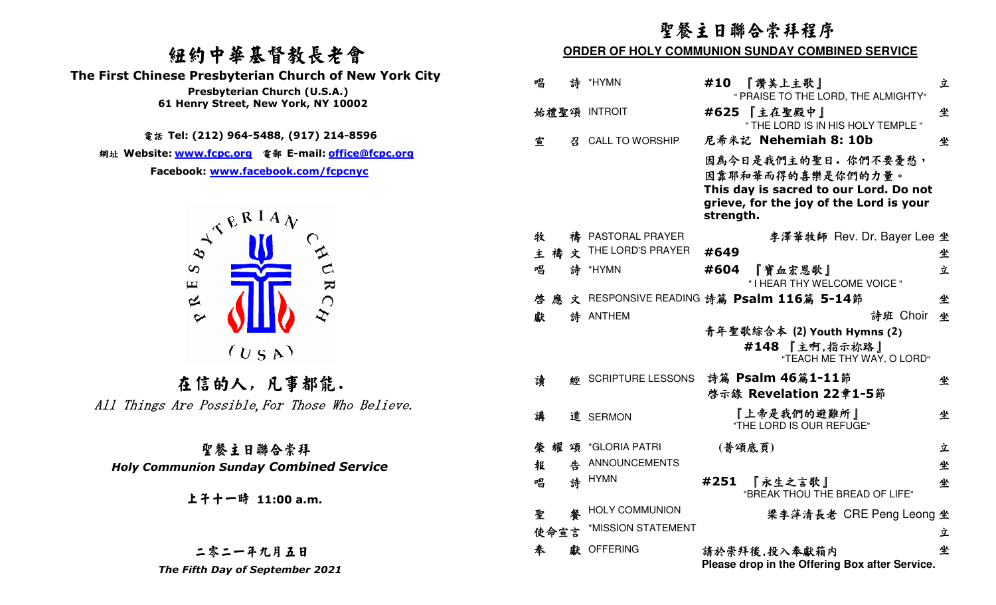## 紐約中華基督教長老會

 **The First Chinese Presbyterian Church of New York City** 



### 二零二一年九月五日The Fifth Day of September 2021

|                                                                                                                                                                     | 聖餐主日聯合崇拜程序<br>ORDER OF HOLY COMMUNION SUNDAY COMBINED SERVICE                                                                              |            |  |  |  |
|---------------------------------------------------------------------------------------------------------------------------------------------------------------------|--------------------------------------------------------------------------------------------------------------------------------------------|------------|--|--|--|
| 纽约中華基督教長老會                                                                                                                                                          |                                                                                                                                            |            |  |  |  |
| <b>First Chinese Presbyterian Church of New York City</b><br>Presbyterian Church (U.S.A.)                                                                           | 唱<br>詩 *HYMN<br>『讚美上主歌』<br>#10<br>" PRAISE TO THE LORD, THE ALMIGHTY"                                                                      | 立          |  |  |  |
| 61 Henry Street, New York, NY 10002                                                                                                                                 | #625 【主在聖殿中】<br>始禮聖頌 INTROIT<br>" THE LORD IS IN HIS HOLY TEMPLE "                                                                         | 坐          |  |  |  |
| 電話 Tel: (212) 964-5488, (917) 214-8596                                                                                                                              | 尼希米記 Nehemiah 8: 10b<br>宣<br><b>CALL TO WORSHIP</b><br>召                                                                                   | 坐          |  |  |  |
| 網址 Website: www.fcpc.org 電郵 E-mail: <u>office@fcpc.org</u><br>Facebook: www.facebook.com/fcpcnyc<br>$A^{\mathcal{R}^{\mathbf{R}^{\mathbf{I}}\mathbf{A}}\mathbf{V}}$ | 因為今日是我們主的聖日。你們不要憂愁,<br>因靠耶和華而得的喜樂是你們的力量。<br>This day is sacred to our Lord. Do not<br>grieve, for the joy of the Lord is your<br>strength. |            |  |  |  |
|                                                                                                                                                                     | 牧<br>禱 PASTORAL PRAYER<br>李澤華牧師 Rev. Dr. Bayer Lee 坐                                                                                       |            |  |  |  |
|                                                                                                                                                                     | THE LORD'S PRAYER<br>禱<br>文<br>#649<br>主                                                                                                   | 坐          |  |  |  |
| $A$ URC<br>$\infty$<br>$\mathbf \mu$                                                                                                                                | 唱<br>詩<br>#604<br>*HYMN<br>『寶血宏恩歌』<br>" I HEAR THY WELCOME VOICE "                                                                         | 立          |  |  |  |
| $\approx$<br>$\sim$<br>(U S A)                                                                                                                                      | 文 RESPONSIVE READING 詩篇 Psalm 116篇 5-14節<br>啓<br>應                                                                                         | 坐          |  |  |  |
|                                                                                                                                                                     | 獻<br>詩 ANTHEM<br>青年聖歌綜合本 (2) Youth Hymns (2)<br>#148 【主啊,指示祢路】<br>"TEACH ME THY WAY, O LORD"                                               | 詩班 Choir 坐 |  |  |  |
| 在信的人,凡事都能.                                                                                                                                                          | 詩篇 Psalm 46篇1-11節<br>讀<br><b>SCRIPTURE LESSONS</b><br>緛<br>啓示錄 Revelation 22章1-5節                                                          | 坐          |  |  |  |
| 111 Things Are Possible, For Those Who Believe.                                                                                                                     | 『上帝是我們的避難所』<br>講<br>道 SERMON<br>"THE LORD IS OUR REFUGE"                                                                                   | 坐          |  |  |  |
| 聖餐主日聯合崇拜                                                                                                                                                            | (普頌底頁)<br>*GLORIA PATRI<br>榮 耀<br>頌                                                                                                        | 立          |  |  |  |
| <b>Holy Communion Sunday Combined Service</b>                                                                                                                       | 告 ANNOUNCEMENTS<br>報                                                                                                                       | 坐          |  |  |  |
| 上干十一時 11:00 a.m.                                                                                                                                                    | 詩 HYMN<br>唱<br>#251<br>『永生之言歌』<br>"BREAK THOU THE BREAD OF LIFE"                                                                           | 坐          |  |  |  |
|                                                                                                                                                                     | <b>HOLY COMMUNION</b><br>聖<br>餐<br>梁李萍清長老 CRE Peng Leong 坐                                                                                 |            |  |  |  |
|                                                                                                                                                                     | *MISSION STATEMENT<br>使命宣言                                                                                                                 | 立          |  |  |  |
| 二零二一年九月五日<br>The Fifth Day of September 2021                                                                                                                        | 奉<br>獻 OFFERING<br>請於崇拜後,投入奉獻箱内<br>Please drop in the Offering Box after Service.                                                          | 坐          |  |  |  |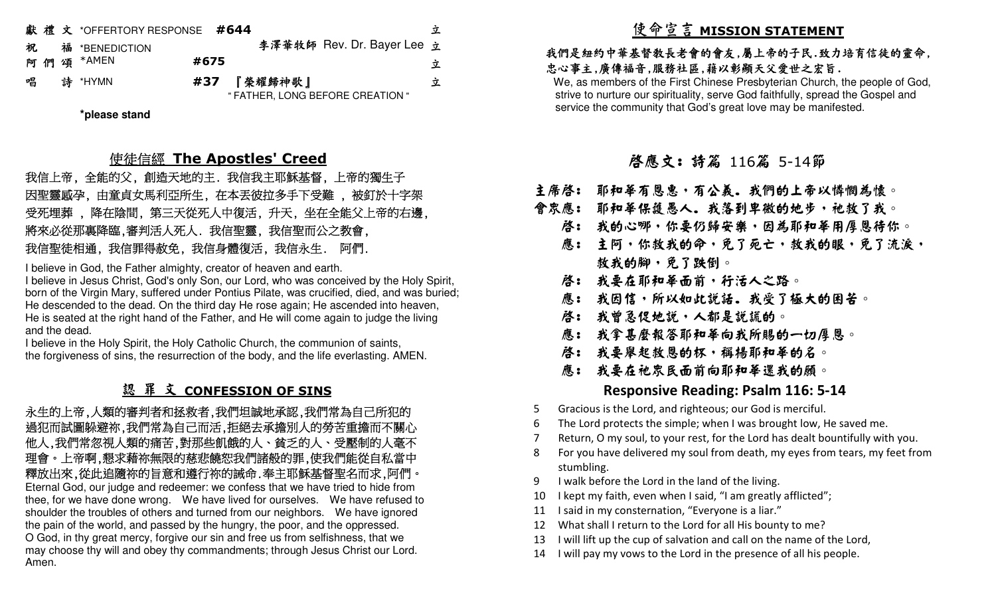|   | 獻禮文 *OFFERTORY RESPONSE #644 |      |             |                                  | 乊 |
|---|------------------------------|------|-------------|----------------------------------|---|
| 祝 | 福 *BENEDICTION               |      |             | 李澤華牧師 Rev. Dr. Bayer Lee 立       |   |
|   | 阿們頌 *AMEN                    | #675 |             |                                  | 立 |
| 唱 | 詩 *HYMN                      |      | #37 『榮耀歸神歌』 | " FATHER, LONG BEFORE CREATION " | 立 |
|   |                              |      |             |                                  |   |

**\*please stand**

## 使徒信經 **The Apostles' Creed**

 我信上帝, 全能的父, 創造天地的主. 我信我主耶穌基督, 上帝的獨生子 因聖靈感孕, 由童貞女馬利亞所生, 在本丟彼拉多手下受難 , 被釘於十字架 受死埋葬 , 降在陰間, 第三天從死人中復活, 升天, 坐在全能父上帝的右邊, 將來必從那裏降臨,審判活人死人. 我信聖靈, 我信聖而公之教會, 我信聖徒相通, 我信罪得赦免, 我信身體復活, 我信永生. 阿們.

I believe in God, the Father almighty, creator of heaven and earth.

 I believe in Jesus Christ, God's only Son, our Lord, who was conceived by the Holy Spirit, born of the Virgin Mary, suffered under Pontius Pilate, was crucified, died, and was buried; He descended to the dead. On the third day He rose again; He ascended into heaven, He is seated at the right hand of the Father, and He will come again to judge the living and the dead.

 I believe in the Holy Spirit, the Holy Catholic Church, the communion of saints, the forgiveness of sins, the resurrection of the body, and the life everlasting. AMEN.

### 認 罪 文 **CONFESSION OF SINS**

永生的上帝,人類的審判者和拯救者,我們坦誠地承認,我們常為自己所犯的 過犯而試圖躲避祢,我們常為自己而活,拒絕去承擔別人的勞苦重擔而不關心 他人,我們常忽視人類的痛苦,對那些飢餓的人、貧乏的人、受壓制的人毫不 理會。上帝啊,懇求藉祢無限的慈悲饒恕我們諸般的罪,使我們能從自私當中 釋放出來,從此追隨祢的旨意和遵行祢的誡命.奉主耶穌基督聖名而求,阿們。 Eternal God, our judge and redeemer: we confess that we have tried to hide from thee, for we have done wrong. We have lived for ourselves. We have refused to shoulder the troubles of others and turned from our neighbors. We have ignored the pain of the world, and passed by the hungry, the poor, and the oppressed. O God, in thy great mercy, forgive our sin and free us from selfishness, that we may choose thy will and obey thy commandments; through Jesus Christ our Lord. Amen.

# 使命宣言 **MISSION STATEMENT**

### 我們是紐約中華基督教長老會的會友,屬上帝的子民.致力培育信徒的靈命, 忠心事主,廣傳福音,服務社區,藉以彰顯天父愛世之宏旨.

 We, as members of the First Chinese Presbyterian Church, the people of God, strive to nurture our spirituality, serve God faithfully, spread the Gospel and service the community that God's great love may be manifested.

# 啟應文: 詩篇 <sup>116</sup> 篇 5-14節

- 主席啓: 耶和華有恩惠,有公義。我們的上帝以憐憫為懷。
- 會眾應: 耶和華保護愚人。我落到卑微的地步,祂救了我。
	- 啓: 我的心哪,你要仍歸安樂,因為耶和華用厚恩待你。」
- 應: 主阿,你救我的命,免了死亡,救我的眼,免了流淚, 救我的腳,免了跌倒。
- 啓: 我要在耶和華面前,行活人之路。
- 應: 我因信,所以如此說話.我受了極大的困苦。
	- 啓: 我曾急促地説,人都是説謊的。
- 應: 我拿甚麼報答耶和華向我所賜的一切厚恩。
	- 啓: 我要舉起救恩的杯,稱楊耶和華的名。
- 應: 我要在祂眾民面前向耶和華還我的願。

### **Responsive Reading: Psalm 116: 5-14**

- 5 Gracious is the Lord, and righteous; our God is merciful.
- 6 The Lord protects the simple; when I was brought low, He saved me.
- 7 Return, O my soul, to your rest, for the Lord has dealt bountifully with you.
- 8 For you have delivered my soul from death, my eyes from tears, my feet from stumbling.
- 9 I walk before the Lord in the land of the living.
- 10 I kept my faith, even when I said, "I am greatly afflicted";
- 11 I said in my consternation, "Everyone is a liar."
- 12 What shall I return to the Lord for all His bounty to me?
- 13 I will lift up the cup of salvation and call on the name of the Lord,
- 14 I will pay my vows to the Lord in the presence of all his people.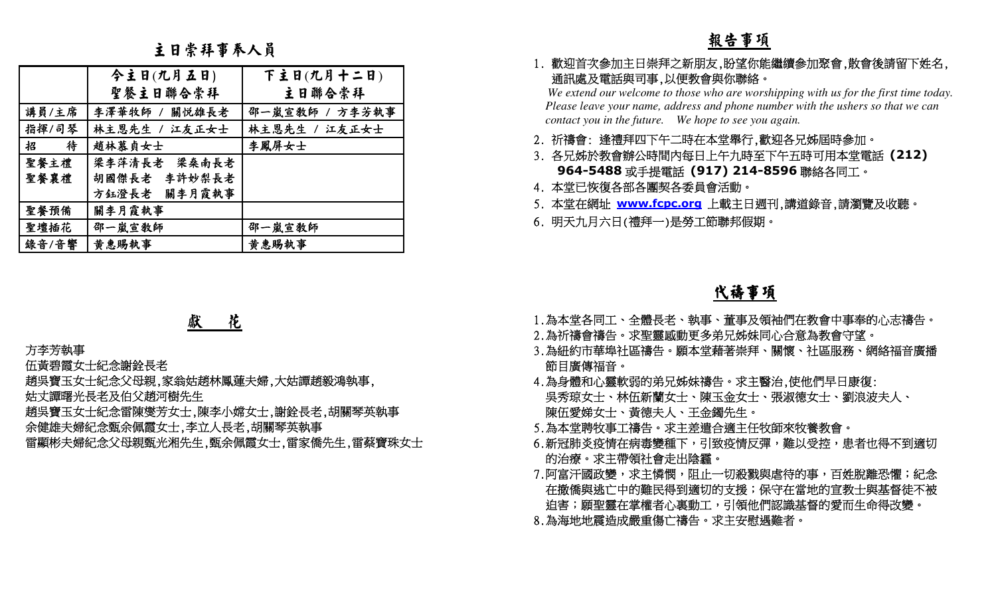主日崇拜事奉人員

|                                                                   | 主日崇拜事奉人員                                                                                                                                                |                                                                                     | 報告事項                                                                                                                                                                                                                                                                                                                                                                                                                                                                                                                  |
|-------------------------------------------------------------------|---------------------------------------------------------------------------------------------------------------------------------------------------------|-------------------------------------------------------------------------------------|-----------------------------------------------------------------------------------------------------------------------------------------------------------------------------------------------------------------------------------------------------------------------------------------------------------------------------------------------------------------------------------------------------------------------------------------------------------------------------------------------------------------------|
| 講員/主席<br>指揮/司琴<br>招<br>待<br>聖餐主禮<br>聖餐襄禮<br>聖餐預備<br>聖壇插花<br>錄音/音響 | 今主日(九月五日)<br>聖餐主日聯合崇拜<br>李澤華牧師 / 關悦雄長老<br>林主恩先生 / 江友正女士<br>趙林慕貞女士<br>梁李萍清長老<br>梁桑南長老<br>李許妙梨長老<br>胡國傑長老<br>關李月霞執事<br>方鈺澄長老<br>關李月霞執事<br>邵一嵐宣教師<br>黄惠賜執事 | 下主日(九月十二日)<br>主日聯合崇拜<br>邵一嵐宣教師 / 方李芳執事<br>林主恩先生 / 江友正女士<br>李鳳屏女士<br>邵一嵐宣教師<br>黄惠賜執事 | 1. 歡迎首次參加主日崇拜之新朋友,盼望你能繼續參加聚會,散會後請留下姓名,<br>通訊處及電話與司事,以便教會與你聯絡。<br>We extend our welcome to those who are worshipping with us for the first time today.<br>Please leave your name, address and phone number with the ushers so that we can<br>contact you in the future. We hope to see you again.<br>2. 祈禱會: 逢禮拜四下午二時在本堂舉行,歡迎各兄姊屆時參加。<br>3. 各兄姊於教會辦公時間內每日上午九時至下午五時可用本堂電話 (212)<br>964-5488 或手提電話 (917) 214-8596 聯絡各同工。<br>4. 本堂已恢復各部各團契各委員會活動。<br>5. 本堂在網址 www.fcpc.org 上載主日週刊,講道錄音,請瀏覽及收聽。<br>6. 明天九月六日(禮拜一)是勞工節聯邦假期。 |
|                                                                   |                                                                                                                                                         |                                                                                     | <u>代禱事項</u>                                                                                                                                                                                                                                                                                                                                                                                                                                                                                                           |
| 方李芳執事                                                             | 花<br>獻<br>伍黃碧霞女士紀念謝銓長老<br>趙吳寶玉女士紀念父母親,家翁姑趙林鳳蓮夫婦,大姑譚趙毅鴻執事,<br>姑丈譚曙光長老及伯父趙河樹先生<br>余健雄夫婦紀念甄余佩霞女士,李立人長老,胡關琴英執事                                              | 趙吳寶玉女士紀念雷陳燮芳女士,陳李小嫦女士,謝銓長老,胡關琴英執事<br>雷顯彬夫婦紀念父母親甄光湘先生,甄余佩霞女士,雷家僑先生,雷蔡寶珠女士            | 1.為本堂各同工、全體長老、執事、董事及領袖們在教會中事奉的心志禱告。<br>2.為祈禱會禱告。求聖靈感動更多弟兄姊妹同心合意為教會守望。<br>3.為紐約市華埠社區禱告。願本堂藉著崇拜、關懷、社區服務、網絡福音廣播<br>節目廣傳福音。<br>4.為身體和心靈軟弱的弟兄姊妹禱告。求主醫治,使他們早日康復:<br>吳秀琼女士、林伍新蘭女士、陳玉金女士、張淑德女士、劉浪波夫人、<br>陳伍愛娣女士、黃德夫人、王金鐲先生。<br>5.為本堂聘牧事工禱告。求主差遣合適主任牧師來牧養教會。<br>6.新冠肺炎疫情在病毒變種下,引致疫情反彈,難以受控,患者也得不到適切<br>的治療。求主帶領社會走出陰霾。<br>7.阿富汗國政變,求主憐憫,阻止一切殺戮與虐待的事,百姓脫離恐懼;紀念<br>在撤僑與逃亡中的難民得到適切的支援;保守在當地的宣教士與基督徒不被<br>迫害;願聖靈在掌權者心裏動工,引領他們認識基督的愛而生命得改變。<br>8.為海地地震造成嚴重傷亡禱告。求主安慰遇難者。                                                             |

### 獻 花

- 
- 
- 
- 
- 

- 
- 
- 
- 
- 
- 
- 
-